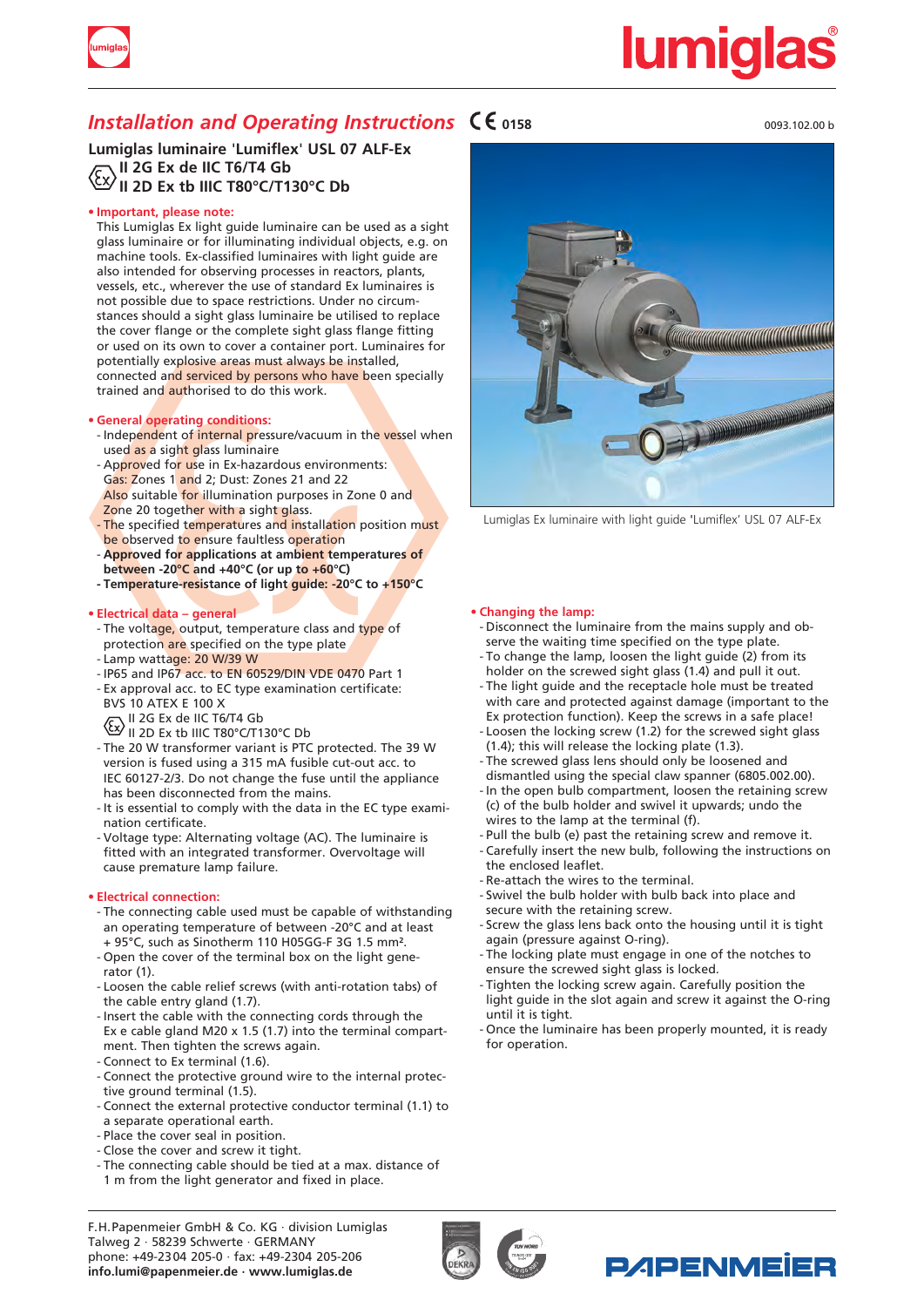

# <u>lumiqlas</u>

### *Installation and Operating Instructions*  $\mathsf{C}\mathsf{E}_{0158}$

**Lumiglas luminaire** '**Lumiflex**' **USL 07 ALF-Ex II 2G Ex de IIC T6/T4 Gb II 2D Ex tb IIIC T80°C/T130°C Db**

### **• Important, please note:**

This Lumiglas Ex light guide luminaire can be used as a sight glass luminaire or for illuminating individual objects, e.g. on machine tools. Ex-classified luminaires with light guide are also intended for observing processes in reactors, plants, vessels, etc., wherever the use of standard Ex luminaires is not possible due to space restrictions. Under no circumstances should a sight glass luminaire be utilised to replace the cover flange or the complete sight glass flange fitting or used on its own to cover a container port. Luminaires for potentially explosive areas must always be installed, connected and serviced by persons who have been specially trained and authorised to do this work.

### **• General operating conditions:**

- Independent of internal pressure/vacuum in the vessel when used as a sight glass luminaire
- Approved for use in Ex-hazardous environments: Gas: Zones 1 and 2; Dust: Zones 21 and 22 Also suitable for illumination purposes in Zone 0 and Zone 20 together with a sight glass.
- The specified temperatures and installation position must be observed to ensure faultless operation
- **Approved for applications at ambient temperatures of between -20°C and +40°C (or up to +60°C)**
- **- Temperature-resistance of light guide: -20°C to +150°C**

### **• Electrical data – general**

- The voltage, output, temperature class and type of protection are specified on the type plate
- Lamp wattage: 20 W/39 W
- IP65 and IP67 acc. to EN 60529/DIN VDE 0470 Part 1
- Ex approval acc. to EC type examination certificate: BVS 10 ATEX E 100 X
- $\sqrt{ }$  II 2G Ex de IIC T6/T4 Gb
- $\mathbb{P}$  II 2D Ex tb IIIC T80°C/T130°C Db
- The 20 W transformer variant is PTC protected. The 39 W version is fused using a 315 mA fusible cut-out acc. to IEC 60127-2/3. Do not change the fuse until the appliance has been disconnected from the mains.
- It is essential to comply with the data in the EC type exami nation certificate.
- Voltage type: Alternating voltage (AC). The luminaire is fitted with an integrated transformer. Overvoltage will cause premature lamp failure.

### **• Electrical connection:**

- The connecting cable used must be capable of withstanding an operating temperature of between -20°C and at least + 95°C, such as Sinotherm 110 H05GG-F 3G 1.5 mm².
- Open the cover of the terminal box on the light gene rator (1).
- Loosen the cable relief screws (with anti-rotation tabs) of the cable entry gland (1.7).
- Insert the cable with the connecting cords through the Ex e cable gland M20 x 1.5 (1.7) into the terminal compart ment. Then tighten the screws again. - Connect to Ex terminal (1.6).
- Connect the protective ground wire to the internal protec tive ground terminal (1.5).
- Connect the external protective conductor terminal (1.1) to
- a separate operational earth.
- Place the cover seal in position.
- Close the cover and screw it tight.
- The connecting cable should be tied at a max. distance of
- 1 m from the light generator and fixed in place.





Lumiglas Ex luminaire with light guide 'Lumiflex' USL 07 ALF-Ex

### **• Changing the lamp:**

- Disconnect the luminaire from the mains supply and ob serve the waiting time specified on the type plate.
- To change the lamp, loosen the light guide (2) from its holder on the screwed sight glass (1.4) and pull it out.
- The light guide and the receptacle hole must be treated with care and protected against damage (important to the
- Ex protection function). Keep the screws in a safe place! - Loosen the locking screw (1.2) for the screwed sight glass (1.4); this will release the locking plate (1.3).
- The screwed glass lens should only be loosened and dismantled using the special claw spanner (6805.002.00).
- In the open bulb compartment, loosen the retaining screw (c) of the bulb holder and swivel it upwards; undo the wires to the lamp at the terminal (f).
- Pull the bulb (e) past the retaining screw and remove it.
- Carefully insert the new bulb, following the instructions on the enclosed leaflet.
- Re-attach the wires to the terminal.
- Swivel the bulb holder with bulb back into place and secure with the retaining screw.
- Screw the glass lens back onto the housing until it is tight again (pressure against O-ring).
- The locking plate must engage in one of the notches to ensure the screwed sight glass is locked.
- Tighten the locking screw again. Carefully position the light guide in the slot again and screw it against the O-ring until it is tight.
- Once the luminaire has been properly mounted, it is ready for operation.